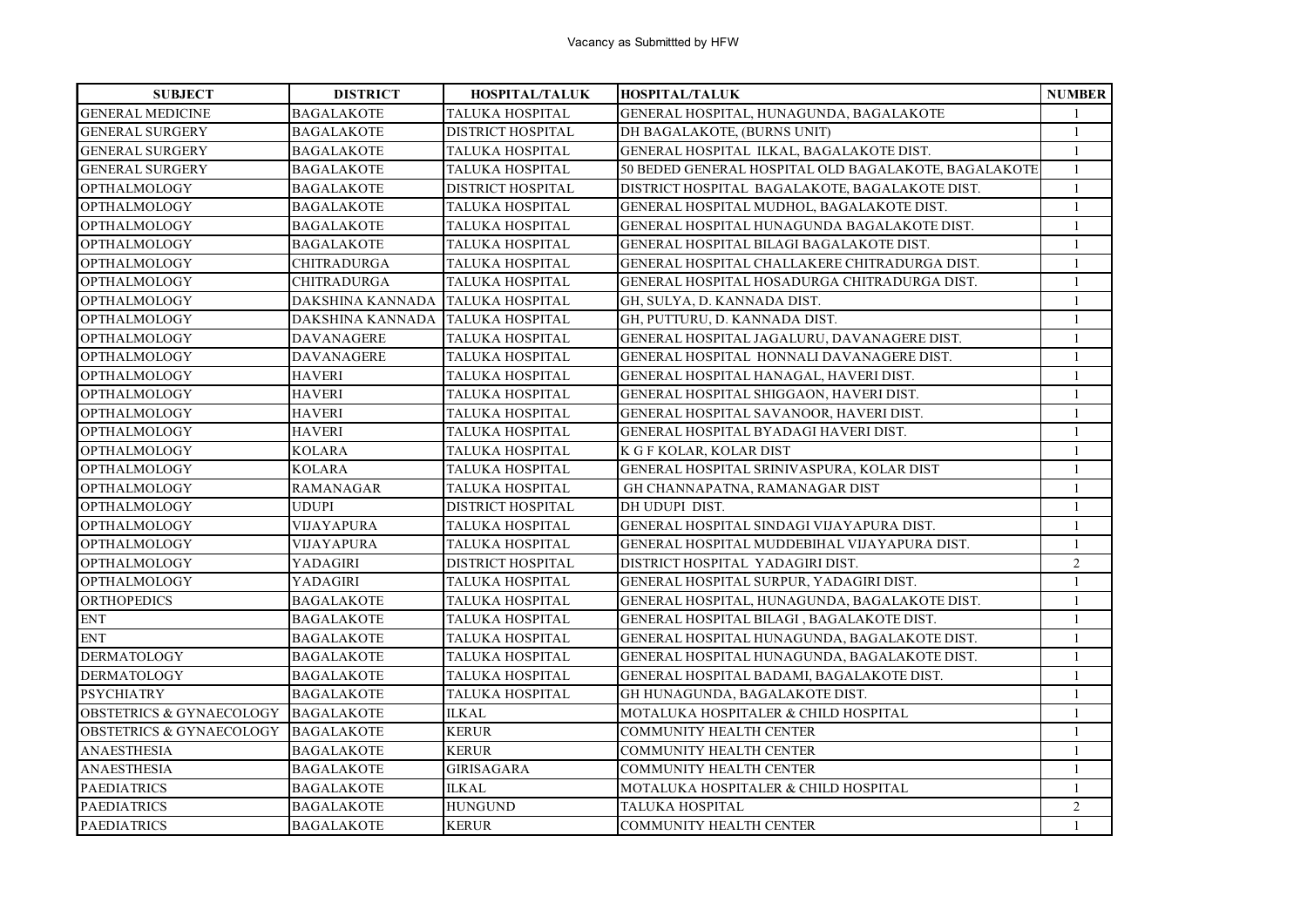| <b>SUBJECT</b>                      | <b>DISTRICT</b>    | HOSPITAL/TALUK           | HOSPITAL/TALUK                                       | <b>NUMBER</b>  |
|-------------------------------------|--------------------|--------------------------|------------------------------------------------------|----------------|
| <b>GENERAL MEDICINE</b>             | <b>BAGALAKOTE</b>  | TALUKA HOSPITAL          | GENERAL HOSPITAL, HUNAGUNDA, BAGALAKOTE              | $\mathbf{1}$   |
| <b>GENERAL SURGERY</b>              | <b>BAGALAKOTE</b>  | <b>DISTRICT HOSPITAL</b> | DH BAGALAKOTE, (BURNS UNIT)                          | $\mathbf{1}$   |
| <b>GENERAL SURGERY</b>              | <b>BAGALAKOTE</b>  | <b>TALUKA HOSPITAL</b>   | GENERAL HOSPITAL ILKAL, BAGALAKOTE DIST.             | $\mathbf{1}$   |
| <b>GENERAL SURGERY</b>              | <b>BAGALAKOTE</b>  | <b>TALUKA HOSPITAL</b>   | 50 BEDED GENERAL HOSPITAL OLD BAGALAKOTE, BAGALAKOTE | $\mathbf{1}$   |
| <b>OPTHALMOLOGY</b>                 | <b>BAGALAKOTE</b>  | <b>DISTRICT HOSPITAL</b> | DISTRICT HOSPITAL BAGALAKOTE, BAGALAKOTE DIST.       | $\mathbf{1}$   |
| <b>OPTHALMOLOGY</b>                 | <b>BAGALAKOTE</b>  | TALUKA HOSPITAL          | GENERAL HOSPITAL MUDHOL, BAGALAKOTE DIST.            | $\mathbf{1}$   |
| <b>OPTHALMOLOGY</b>                 | <b>BAGALAKOTE</b>  | <b>TALUKA HOSPITAL</b>   | GENERAL HOSPITAL HUNAGUNDA BAGALAKOTE DIST.          | $\mathbf{1}$   |
| <b>OPTHALMOLOGY</b>                 | <b>BAGALAKOTE</b>  | TALUKA HOSPITAL          | GENERAL HOSPITAL BILAGI BAGALAKOTE DIST.             | $\mathbf{1}$   |
| <b>OPTHALMOLOGY</b>                 | <b>CHITRADURGA</b> | <b>TALUKA HOSPITAL</b>   | GENERAL HOSPITAL CHALLAKERE CHITRADURGA DIST.        | $\mathbf{1}$   |
| <b>OPTHALMOLOGY</b>                 | <b>CHITRADURGA</b> | <b>TALUKA HOSPITAL</b>   | GENERAL HOSPITAL HOSADURGA CHITRADURGA DIST.         | $\mathbf{1}$   |
| <b>OPTHALMOLOGY</b>                 | DAKSHINA KANNADA   | <b>TALUKA HOSPITAL</b>   | GH, SULYA, D. KANNADA DIST.                          | $\mathbf{1}$   |
| <b>OPTHALMOLOGY</b>                 | DAKSHINA KANNADA   | <b>TALUKA HOSPITAL</b>   | GH, PUTTURU, D. KANNADA DIST.                        | $\mathbf{1}$   |
| <b>OPTHALMOLOGY</b>                 | DAVANAGERE         | <b>TALUKA HOSPITAL</b>   | GENERAL HOSPITAL JAGALURU, DAVANAGERE DIST.          | $\mathbf{1}$   |
| <b>OPTHALMOLOGY</b>                 | <b>DAVANAGERE</b>  | <b>TALUKA HOSPITAL</b>   | GENERAL HOSPITAL HONNALI DAVANAGERE DIST.            | 1              |
| <b>OPTHALMOLOGY</b>                 | <b>HAVERI</b>      | TALUKA HOSPITAL          | GENERAL HOSPITAL HANAGAL, HAVERI DIST.               | $\mathbf{1}$   |
| <b>OPTHALMOLOGY</b>                 | <b>HAVERI</b>      | TALUKA HOSPITAL          | GENERAL HOSPITAL SHIGGAON, HAVERI DIST.              | $\mathbf{1}$   |
| <b>OPTHALMOLOGY</b>                 | <b>HAVERI</b>      | <b>TALUKA HOSPITAL</b>   | GENERAL HOSPITAL SAVANOOR, HAVERI DIST.              | $\mathbf{1}$   |
| <b>OPTHALMOLOGY</b>                 | <b>HAVERI</b>      | <b>TALUKA HOSPITAL</b>   | GENERAL HOSPITAL BYADAGI HAVERI DIST.                | $\mathbf{1}$   |
| OPTHALMOLOGY                        | <b>KOLARA</b>      | <b>TALUKA HOSPITAL</b>   | K G F KOLAR, KOLAR DIST                              | $\mathbf{1}$   |
| <b>OPTHALMOLOGY</b>                 | <b>KOLARA</b>      | <b>TALUKA HOSPITAL</b>   | GENERAL HOSPITAL SRINIVASPURA, KOLAR DIST            | $\mathbf{1}$   |
| OPTHALMOLOGY                        | <b>RAMANAGAR</b>   | TALUKA HOSPITAL          | GH CHANNAPATNA, RAMANAGAR DIST                       | $\mathbf{1}$   |
| <b>OPTHALMOLOGY</b>                 | <b>UDUPI</b>       | <b>DISTRICT HOSPITAL</b> | DH UDUPI DIST.                                       | $\mathbf{1}$   |
| <b>OPTHALMOLOGY</b>                 | VIJAYAPURA         | TALUKA HOSPITAL          | GENERAL HOSPITAL SINDAGI VIJAYAPURA DIST.            | $\mathbf{1}$   |
| <b>OPTHALMOLOGY</b>                 | VIJAYAPURA         | TALUKA HOSPITAL          | GENERAL HOSPITAL MUDDEBIHAL VIJAYAPURA DIST.         | $\mathbf{1}$   |
| <b>OPTHALMOLOGY</b>                 | YADAGIRI           | DISTRICT HOSPITAL        | DISTRICT HOSPITAL YADAGIRI DIST.                     | 2              |
| <b>OPTHALMOLOGY</b>                 | YADAGIRI           | <b>TALUKA HOSPITAL</b>   | GENERAL HOSPITAL SURPUR, YADAGIRI DIST.              | $\mathbf{1}$   |
| <b>ORTHOPEDICS</b>                  | <b>BAGALAKOTE</b>  | <b>TALUKA HOSPITAL</b>   | GENERAL HOSPITAL, HUNAGUNDA, BAGALAKOTE DIST.        | $\mathbf{1}$   |
| <b>ENT</b>                          | <b>BAGALAKOTE</b>  | <b>TALUKA HOSPITAL</b>   | GENERAL HOSPITAL BILAGI, BAGALAKOTE DIST.            | $\mathbf{1}$   |
| <b>ENT</b>                          | <b>BAGALAKOTE</b>  | TALUKA HOSPITAL          | GENERAL HOSPITAL HUNAGUNDA, BAGALAKOTE DIST.         | $\mathbf{1}$   |
| <b>DERMATOLOGY</b>                  | BAGALAKOTE         | TALUKA HOSPITAL          | GENERAL HOSPITAL HUNAGUNDA, BAGALAKOTE DIST.         | $\mathbf{1}$   |
| <b>DERMATOLOGY</b>                  | <b>BAGALAKOTE</b>  | TALUKA HOSPITAL          | GENERAL HOSPITAL BADAMI, BAGALAKOTE DIST.            | $\mathbf{1}$   |
| <b>PSYCHIATRY</b>                   | <b>BAGALAKOTE</b>  | <b>TALUKA HOSPITAL</b>   | GH HUNAGUNDA, BAGALAKOTE DIST.                       | $\mathbf{1}$   |
| OBSTETRICS & GYNAECOLOGY BAGALAKOTE |                    | <b>ILKAL</b>             | MOTALUKA HOSPITALER & CHILD HOSPITAL                 | $\mathbf{1}$   |
| <b>OBSTETRICS &amp; GYNAECOLOGY</b> | <b>BAGALAKOTE</b>  | <b>KERUR</b>             | <b>COMMUNITY HEALTH CENTER</b>                       | $\mathbf{1}$   |
| ANAESTHESIA                         | <b>BAGALAKOTE</b>  | <b>KERUR</b>             | <b>COMMUNITY HEALTH CENTER</b>                       | $\mathbf{1}$   |
| <b>ANAESTHESIA</b>                  | <b>BAGALAKOTE</b>  | <b>GIRISAGARA</b>        | <b>COMMUNITY HEALTH CENTER</b>                       | $\mathbf{1}$   |
| <b>PAEDIATRICS</b>                  | <b>BAGALAKOTE</b>  | <b>ILKAL</b>             | MOTALUKA HOSPITALER & CHILD HOSPITAL                 | $\mathbf{1}$   |
| <b>PAEDIATRICS</b>                  | <b>BAGALAKOTE</b>  | <b>HUNGUND</b>           | <b>TALUKA HOSPITAL</b>                               | $\overline{c}$ |
| <b>PAEDIATRICS</b>                  | <b>BAGALAKOTE</b>  | <b>KERUR</b>             | <b>COMMUNITY HEALTH CENTER</b>                       | $\mathbf{1}$   |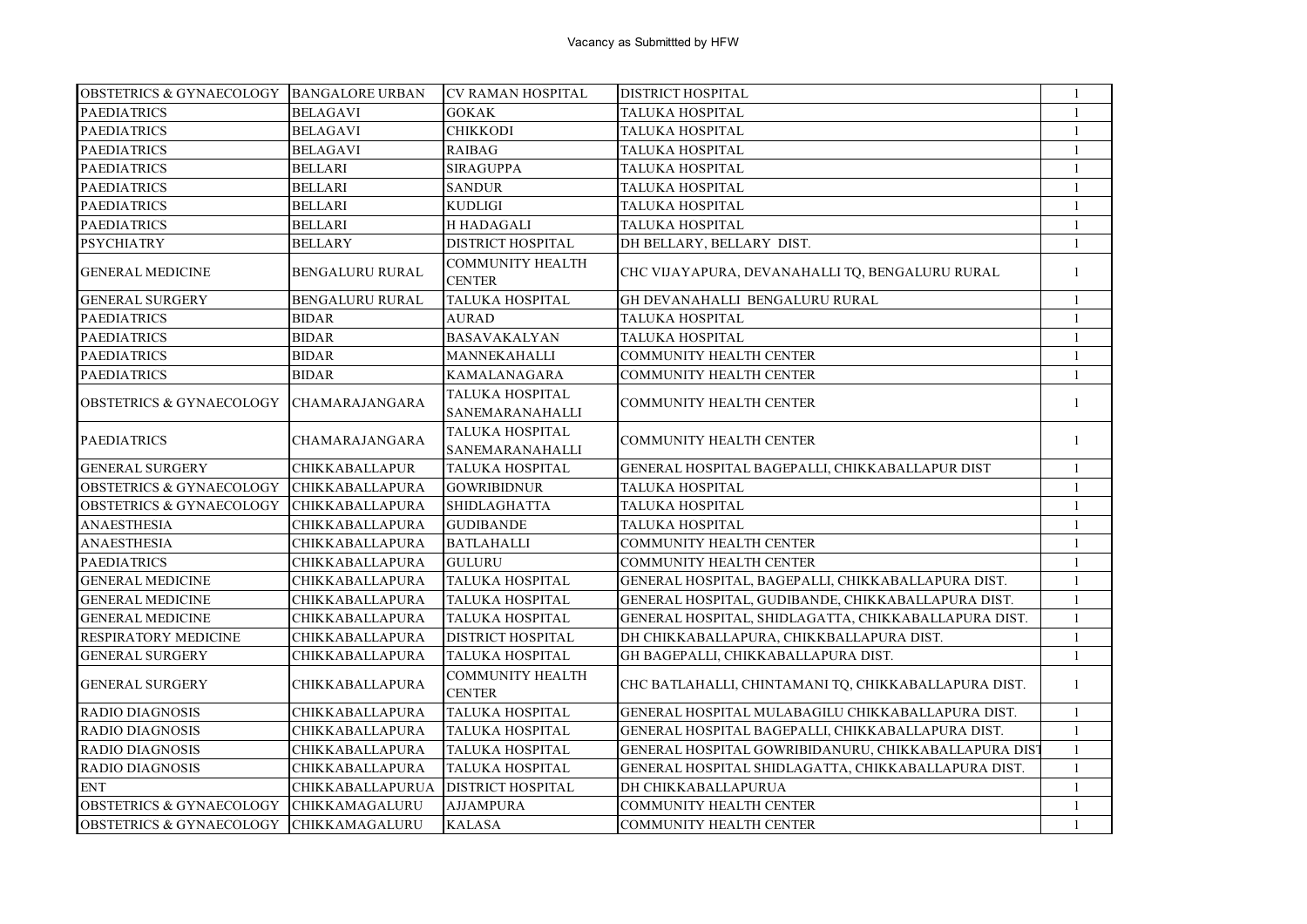| OBSTETRICS & GYNAECOLOGY  BANGALORE URBAN |                         | <b>CV RAMAN HOSPITAL</b>                 | <b>DISTRICT HOSPITAL</b>                             | 1            |
|-------------------------------------------|-------------------------|------------------------------------------|------------------------------------------------------|--------------|
| <b>PAEDIATRICS</b>                        | <b>BELAGAVI</b>         | <b>GOKAK</b>                             | <b>TALUKA HOSPITAL</b>                               | $\mathbf{1}$ |
| <b>PAEDIATRICS</b>                        | <b>BELAGAVI</b>         | <b>CHIKKODI</b>                          | TALUKA HOSPITAL                                      | 1            |
| <b>PAEDIATRICS</b>                        | <b>BELAGAVI</b>         | <b>RAIBAG</b>                            | TALUKA HOSPITAL                                      | 1            |
| <b>PAEDIATRICS</b>                        | BELLARI                 | <b>SIRAGUPPA</b>                         | TALUKA HOSPITAL                                      | $\mathbf{1}$ |
| <b>PAEDIATRICS</b>                        | <b>BELLARI</b>          | <b>SANDUR</b>                            | TALUKA HOSPITAL                                      | $\mathbf{1}$ |
| <b>PAEDIATRICS</b>                        | BELLARI                 | KUDLIGI                                  | TALUKA HOSPITAL                                      | $\mathbf{1}$ |
| <b>PAEDIATRICS</b>                        | <b>BELLARI</b>          | H HADAGALI                               | TALUKA HOSPITAL                                      | $\mathbf{1}$ |
| <b>PSYCHIATRY</b>                         | <b>BELLARY</b>          | DISTRICT HOSPITAL                        | DH BELLARY, BELLARY DIST.                            | $\mathbf{1}$ |
| <b>GENERAL MEDICINE</b>                   | <b>BENGALURU RURAL</b>  | <b>COMMUNITY HEALTH</b><br><b>CENTER</b> | CHC VIJAYAPURA, DEVANAHALLI TQ, BENGALURU RURAL      | $\mathbf{1}$ |
| <b>GENERAL SURGERY</b>                    | BENGALURU RURAL         | TALUKA HOSPITAL                          | GH DEVANAHALLI BENGALURU RURAL                       | -1           |
| <b>PAEDIATRICS</b>                        | <b>BIDAR</b>            | <b>AURAD</b>                             | TALUKA HOSPITAL                                      | $\mathbf{1}$ |
| <b>PAEDIATRICS</b>                        | <b>BIDAR</b>            | <b>BASAVAKALYAN</b>                      | TALUKA HOSPITAL                                      | $\mathbf{1}$ |
| <b>PAEDIATRICS</b>                        | <b>BIDAR</b>            | MANNEKAHALLI                             | COMMUNITY HEALTH CENTER                              | $\mathbf{1}$ |
| <b>PAEDIATRICS</b>                        | BIDAR                   | KAMALANAGARA                             | <b>COMMUNITY HEALTH CENTER</b>                       | $\mathbf{1}$ |
| <b>OBSTETRICS &amp; GYNAECOLOGY</b>       | <b>CHAMARAJANGARA</b>   | TALUKA HOSPITAL<br>SANEMARANAHALLI       | COMMUNITY HEALTH CENTER                              | $\mathbf{1}$ |
| <b>PAEDIATRICS</b>                        | CHAMARAJANGARA          | TALUKA HOSPITAL<br>SANEMARANAHALLI       | <b>COMMUNITY HEALTH CENTER</b>                       | $\mathbf{1}$ |
| <b>GENERAL SURGERY</b>                    | <b>CHIKKABALLAPUR</b>   | <b>TALUKA HOSPITAL</b>                   | GENERAL HOSPITAL BAGEPALLI, CHIKKABALLAPUR DIST      | $\mathbf{1}$ |
| <b>OBSTETRICS &amp; GYNAECOLOGY</b>       | <b>CHIKKABALLAPURA</b>  | <b>GOWRIBIDNUR</b>                       | <b>TALUKA HOSPITAL</b>                               | $\mathbf{1}$ |
| <b>OBSTETRICS &amp; GYNAECOLOGY</b>       | <b>CHIKKABALLAPURA</b>  | <b>SHIDLAGHATTA</b>                      | TALUKA HOSPITAL                                      | $\mathbf{1}$ |
| <b>ANAESTHESIA</b>                        | CHIKKABALLAPURA         | <b>GUDIBANDE</b>                         | TALUKA HOSPITAL                                      | $\mathbf{1}$ |
| <b>ANAESTHESIA</b>                        | <b>CHIKKABALLAPURA</b>  | <b>BATLAHALLI</b>                        | COMMUNITY HEALTH CENTER                              | $\mathbf{1}$ |
| <b>PAEDIATRICS</b>                        | CHIKKABALLAPURA         | <b>GULURU</b>                            | COMMUNITY HEALTH CENTER                              | -1           |
| <b>GENERAL MEDICINE</b>                   | <b>CHIKKABALLAPURA</b>  | TALUKA HOSPITAL                          | GENERAL HOSPITAL, BAGEPALLI, CHIKKABALLAPURA DIST.   | 1            |
| <b>GENERAL MEDICINE</b>                   | <b>CHIKKABALLAPURA</b>  | <b>TALUKA HOSPITAL</b>                   | GENERAL HOSPITAL, GUDIBANDE, CHIKKABALLAPURA DIST.   | $\mathbf{1}$ |
| <b>GENERAL MEDICINE</b>                   | CHIKKABALLAPURA         | <b>TALUKA HOSPITAL</b>                   | GENERAL HOSPITAL, SHIDLAGATTA, CHIKKABALLAPURA DIST. | $\mathbf{1}$ |
| <b>RESPIRATORY MEDICINE</b>               | CHIKKABALLAPURA         | <b>DISTRICT HOSPITAL</b>                 | DH CHIKKABALLAPURA, CHIKKBALLAPURA DIST.             | $\mathbf{1}$ |
| <b>GENERAL SURGERY</b>                    | CHIKKABALLAPURA         | TALUKA HOSPITAL                          | GH BAGEPALLI, CHIKKABALLAPURA DIST.                  | $\mathbf{1}$ |
| <b>GENERAL SURGERY</b>                    | CHIKKABALLAPURA         | <b>COMMUNITY HEALTH</b><br><b>CENTER</b> | CHC BATLAHALLI, CHINTAMANI TQ, CHIKKABALLAPURA DIST. | -1           |
| <b>RADIO DIAGNOSIS</b>                    | CHIKKABALLAPURA         | TALUKA HOSPITAL                          | GENERAL HOSPITAL MULABAGILU CHIKKABALLAPURA DIST.    | 1            |
| <b>RADIO DIAGNOSIS</b>                    | <b>CHIKKABALLAPURA</b>  | TALUKA HOSPITAL                          | GENERAL HOSPITAL BAGEPALLI, CHIKKABALLAPURA DIST.    | $\mathbf{1}$ |
| <b>RADIO DIAGNOSIS</b>                    | <b>CHIKKABALLAPURA</b>  | TALUKA HOSPITAL                          | GENERAL HOSPITAL GOWRIBIDANURU, CHIKKABALLAPURA DIST | $\mathbf{1}$ |
| <b>RADIO DIAGNOSIS</b>                    | <b>CHIKKABALLAPURA</b>  | TALUKA HOSPITAL                          | GENERAL HOSPITAL SHIDLAGATTA, CHIKKABALLAPURA DIST.  | $\mathbf{1}$ |
| <b>ENT</b>                                | <b>CHIKKABALLAPURUA</b> | <b>DISTRICT HOSPITAL</b>                 | DH CHIKKABALLAPURUA                                  | 1            |
| <b>OBSTETRICS &amp; GYNAECOLOGY</b>       | <b>CHIKKAMAGALURU</b>   | <b>AJJAMPURA</b>                         | <b>COMMUNITY HEALTH CENTER</b>                       | $\mathbf{1}$ |
| OBSTETRICS & GYNAECOLOGY CHIKKAMAGALURU   |                         | <b>KALASA</b>                            | <b>COMMUNITY HEALTH CENTER</b>                       | $\mathbf{1}$ |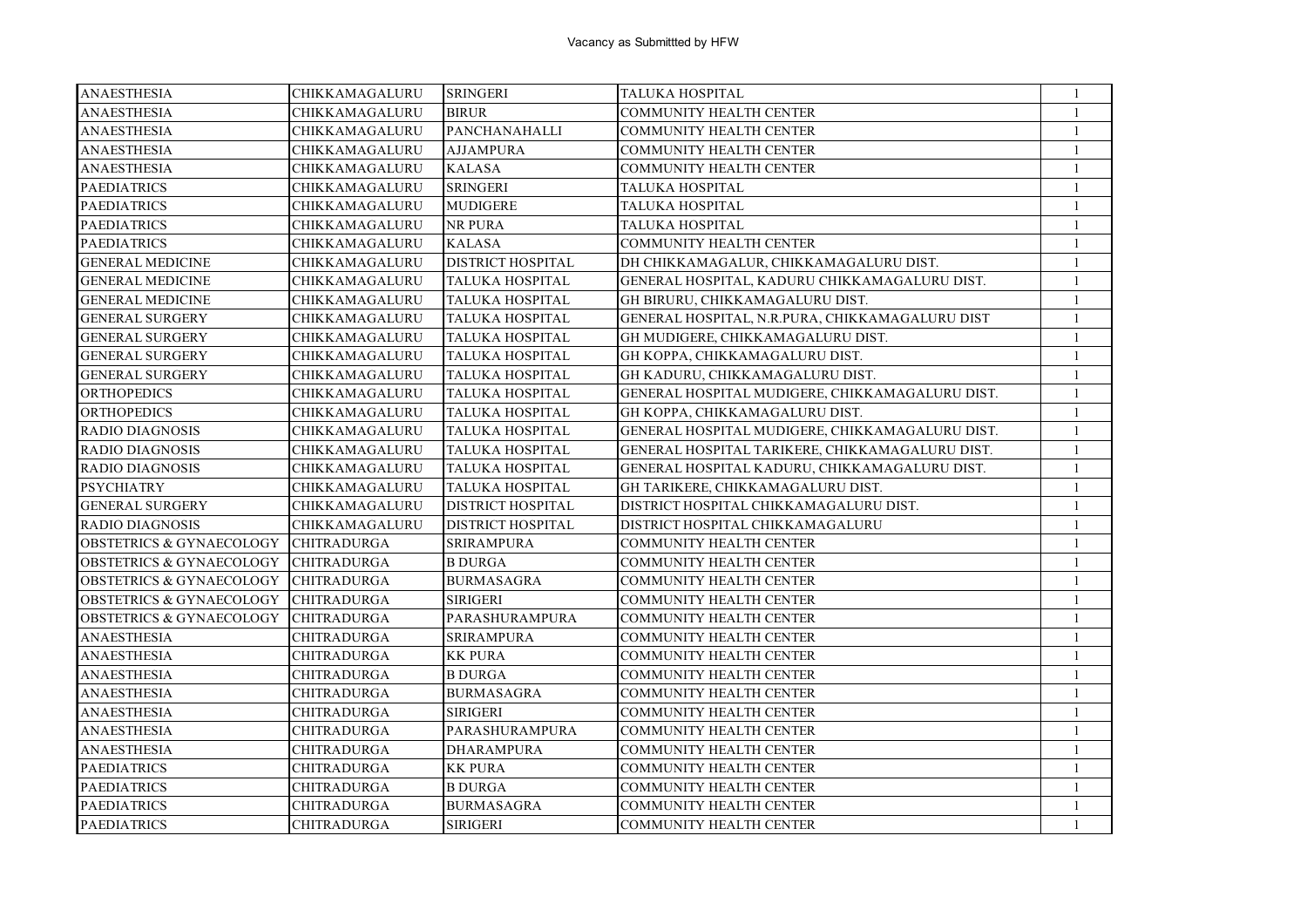| <b>ANAESTHESIA</b>                  | CHIKKAMAGALURU     | <b>SRINGERI</b>          | TALUKA HOSPITAL                                 | $\mathbf{1}$ |
|-------------------------------------|--------------------|--------------------------|-------------------------------------------------|--------------|
| <b>ANAESTHESIA</b>                  | CHIKKAMAGALURU     | <b>BIRUR</b>             | <b>COMMUNITY HEALTH CENTER</b>                  | $\mathbf{1}$ |
| <b>ANAESTHESIA</b>                  | CHIKKAMAGALURU     | PANCHANAHALLI            | <b>COMMUNITY HEALTH CENTER</b>                  | $\mathbf{1}$ |
| <b>ANAESTHESIA</b>                  | CHIKKAMAGALURU     | <b>AJJAMPURA</b>         | COMMUNITY HEALTH CENTER                         | $\mathbf{1}$ |
| <b>ANAESTHESIA</b>                  | CHIKKAMAGALURU     | <b>KALASA</b>            | <b>COMMUNITY HEALTH CENTER</b>                  | 1            |
| <b>PAEDIATRICS</b>                  | CHIKKAMAGALURU     | <b>SRINGERI</b>          | TALUKA HOSPITAL                                 | $\mathbf{1}$ |
| <b>PAEDIATRICS</b>                  | CHIKKAMAGALURU     | <b>MUDIGERE</b>          | TALUKA HOSPITAL                                 | $\mathbf{1}$ |
| <b>PAEDIATRICS</b>                  | CHIKKAMAGALURU     | NR PURA                  | TALUKA HOSPITAL                                 | $\mathbf{1}$ |
| <b>PAEDIATRICS</b>                  | CHIKKAMAGALURU     | <b>KALASA</b>            | <b>COMMUNITY HEALTH CENTER</b>                  | $\mathbf{1}$ |
| <b>GENERAL MEDICINE</b>             | CHIKKAMAGALURU     | <b>DISTRICT HOSPITAL</b> | DH CHIKKAMAGALUR, CHIKKAMAGALURU DIST.          | $\mathbf{1}$ |
| <b>GENERAL MEDICINE</b>             | CHIKKAMAGALURU     | <b>TALUKA HOSPITAL</b>   | GENERAL HOSPITAL, KADURU CHIKKAMAGALURU DIST.   | $\mathbf{1}$ |
| <b>GENERAL MEDICINE</b>             | CHIKKAMAGALURU     | <b>TALUKA HOSPITAL</b>   | GH BIRURU, CHIKKAMAGALURU DIST.                 | $\mathbf{1}$ |
| <b>GENERAL SURGERY</b>              | CHIKKAMAGALURU     | <b>TALUKA HOSPITAL</b>   | GENERAL HOSPITAL, N.R.PURA, CHIKKAMAGALURU DIST | $\mathbf{1}$ |
| <b>GENERAL SURGERY</b>              | CHIKKAMAGALURU     | <b>TALUKA HOSPITAL</b>   | GH MUDIGERE, CHIKKAMAGALURU DIST.               | $\mathbf{1}$ |
| <b>GENERAL SURGERY</b>              | CHIKKAMAGALURU     | TALUKA HOSPITAL          | GH KOPPA, CHIKKAMAGALURU DIST.                  | $\mathbf{1}$ |
| <b>GENERAL SURGERY</b>              | CHIKKAMAGALURU     | <b>TALUKA HOSPITAL</b>   | GH KADURU, CHIKKAMAGALURU DIST.                 | $\mathbf{1}$ |
| <b>ORTHOPEDICS</b>                  | CHIKKAMAGALURU     | <b>TALUKA HOSPITAL</b>   | GENERAL HOSPITAL MUDIGERE, CHIKKAMAGALURU DIST. | $\mathbf{1}$ |
| <b>ORTHOPEDICS</b>                  | CHIKKAMAGALURU     | <b>TALUKA HOSPITAL</b>   | GH KOPPA, CHIKKAMAGALURU DIST.                  | $\mathbf{1}$ |
| <b>RADIO DIAGNOSIS</b>              | CHIKKAMAGALURU     | <b>TALUKA HOSPITAL</b>   | GENERAL HOSPITAL MUDIGERE, CHIKKAMAGALURU DIST. | $\mathbf{1}$ |
| <b>RADIO DIAGNOSIS</b>              | CHIKKAMAGALURU     | TALUKA HOSPITAL          | GENERAL HOSPITAL TARIKERE, CHIKKAMAGALURU DIST. | $\mathbf{1}$ |
| <b>RADIO DIAGNOSIS</b>              | CHIKKAMAGALURU     | <b>TALUKA HOSPITAL</b>   | GENERAL HOSPITAL KADURU, CHIKKAMAGALURU DIST.   | $\mathbf{1}$ |
| <b>PSYCHIATRY</b>                   | CHIKKAMAGALURU     | <b>TALUKA HOSPITAL</b>   | GH TARIKERE, CHIKKAMAGALURU DIST.               | $\mathbf{1}$ |
| <b>GENERAL SURGERY</b>              | CHIKKAMAGALURU     | <b>DISTRICT HOSPITAL</b> | DISTRICT HOSPITAL CHIKKAMAGALURU DIST.          | $\mathbf{1}$ |
| <b>RADIO DIAGNOSIS</b>              | CHIKKAMAGALURU     | <b>DISTRICT HOSPITAL</b> | DISTRICT HOSPITAL CHIKKAMAGALURU                | $\mathbf{1}$ |
| <b>OBSTETRICS &amp; GYNAECOLOGY</b> | <b>CHITRADURGA</b> | <b>SRIRAMPURA</b>        | COMMUNITY HEALTH CENTER                         | $\mathbf{1}$ |
| <b>OBSTETRICS &amp; GYNAECOLOGY</b> | <b>CHITRADURGA</b> | <b>B DURGA</b>           | COMMUNITY HEALTH CENTER                         | $\mathbf{1}$ |
| <b>OBSTETRICS &amp; GYNAECOLOGY</b> | <b>CHITRADURGA</b> | <b>BURMASAGRA</b>        | <b>COMMUNITY HEALTH CENTER</b>                  | $\mathbf{1}$ |
| <b>OBSTETRICS &amp; GYNAECOLOGY</b> | <b>CHITRADURGA</b> | <b>SIRIGERI</b>          | <b>COMMUNITY HEALTH CENTER</b>                  | 1            |
| <b>OBSTETRICS &amp; GYNAECOLOGY</b> | <b>CHITRADURGA</b> | PARASHURAMPURA           | <b>COMMUNITY HEALTH CENTER</b>                  | 1            |
| <b>ANAESTHESIA</b>                  | <b>CHITRADURGA</b> | SRIRAMPURA               | <b>COMMUNITY HEALTH CENTER</b>                  | $\mathbf{1}$ |
| <b>ANAESTHESIA</b>                  | <b>CHITRADURGA</b> | <b>KK PURA</b>           | <b>COMMUNITY HEALTH CENTER</b>                  | $\mathbf{1}$ |
| <b>ANAESTHESIA</b>                  | CHITRADURGA        | <b>B DURGA</b>           | COMMUNITY HEALTH CENTER                         |              |
| <b>ANAESTHESIA</b>                  | <b>CHITRADURGA</b> | <b>BURMASAGRA</b>        | <b>COMMUNITY HEALTH CENTER</b>                  | $\mathbf{1}$ |
| <b>ANAESTHESIA</b>                  | <b>CHITRADURGA</b> | <b>SIRIGERI</b>          | COMMUNITY HEALTH CENTER                         | 1            |
| <b>ANAESTHESIA</b>                  | <b>CHITRADURGA</b> | PARASHURAMPURA           | <b>COMMUNITY HEALTH CENTER</b>                  | $\mathbf{1}$ |
| <b>ANAESTHESIA</b>                  | <b>CHITRADURGA</b> | <b>DHARAMPURA</b>        | COMMUNITY HEALTH CENTER                         | $\mathbf{1}$ |
| <b>PAEDIATRICS</b>                  | <b>CHITRADURGA</b> | <b>KK PURA</b>           | <b>COMMUNITY HEALTH CENTER</b>                  | $\mathbf{1}$ |
| <b>PAEDIATRICS</b>                  | CHITRADURGA        | <b>B DURGA</b>           | COMMUNITY HEALTH CENTER                         | $\mathbf{1}$ |
| <b>PAEDIATRICS</b>                  | CHITRADURGA        | <b>BURMASAGRA</b>        | COMMUNITY HEALTH CENTER                         | $\mathbf{1}$ |
| <b>PAEDIATRICS</b>                  | <b>CHITRADURGA</b> | <b>SIRIGERI</b>          | <b>COMMUNITY HEALTH CENTER</b>                  | -1           |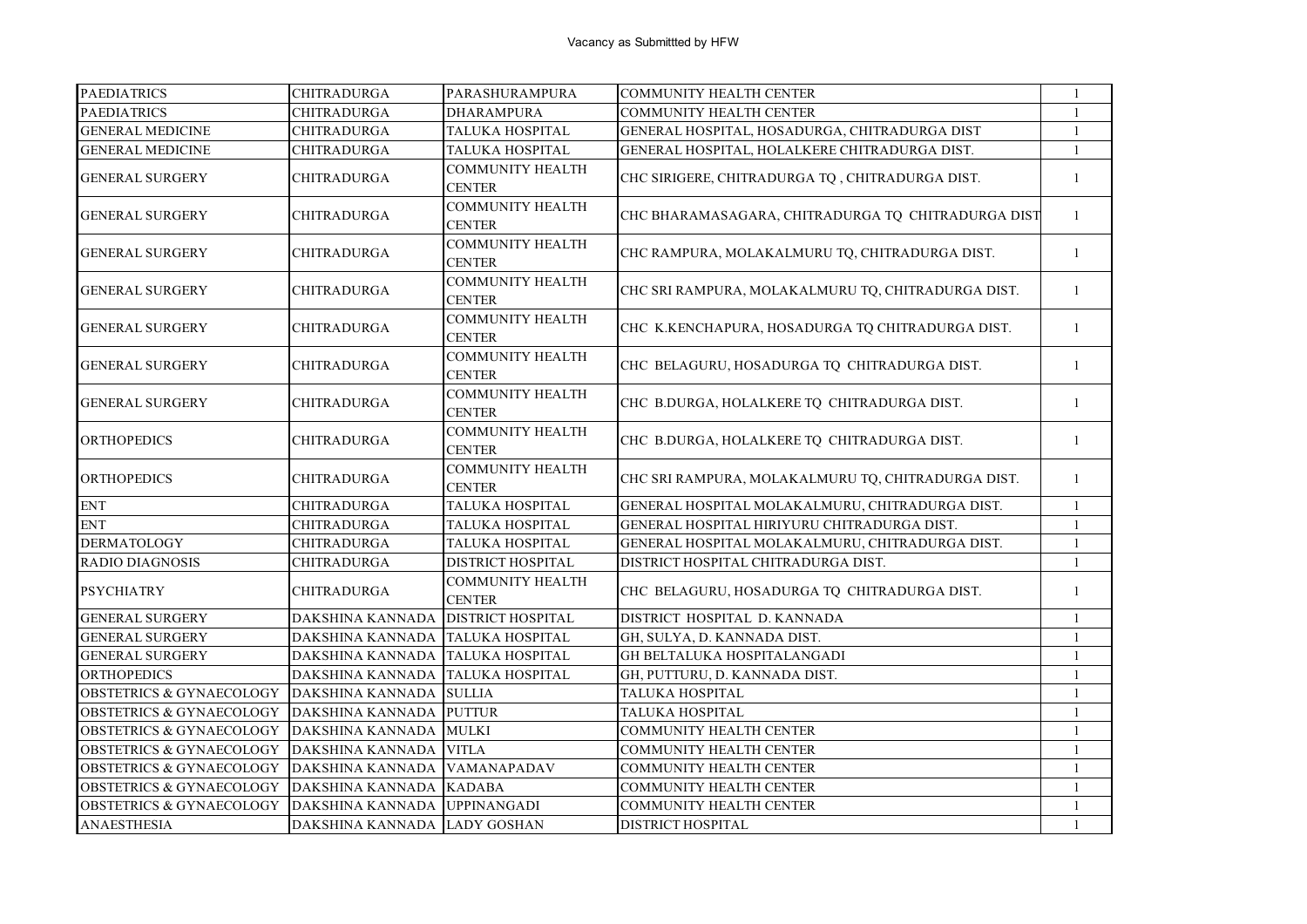| <b>PAEDIATRICS</b>                  | <b>CHITRADURGA</b>           | PARASHURAMPURA                           | <b>COMMUNITY HEALTH CENTER</b>                     | $\mathbf{1}$   |
|-------------------------------------|------------------------------|------------------------------------------|----------------------------------------------------|----------------|
| <b>PAEDIATRICS</b>                  | <b>CHITRADURGA</b>           | <b>DHARAMPURA</b>                        | <b>COMMUNITY HEALTH CENTER</b>                     | $\overline{1}$ |
| <b>GENERAL MEDICINE</b>             | CHITRADURGA                  | <b>TALUKA HOSPITAL</b>                   | GENERAL HOSPITAL, HOSADURGA, CHITRADURGA DIST      | $\mathbf{1}$   |
| <b>GENERAL MEDICINE</b>             | <b>CHITRADURGA</b>           | TALUKA HOSPITAL                          | GENERAL HOSPITAL, HOLALKERE CHITRADURGA DIST.      | $\mathbf{1}$   |
| <b>GENERAL SURGERY</b>              | <b>CHITRADURGA</b>           | <b>COMMUNITY HEALTH</b><br><b>CENTER</b> | CHC SIRIGERE, CHITRADURGA TQ, CHITRADURGA DIST.    | $\mathbf{1}$   |
| <b>GENERAL SURGERY</b>              | CHITRADURGA                  | <b>COMMUNITY HEALTH</b><br><b>CENTER</b> | CHC BHARAMASAGARA, CHITRADURGA TQ CHITRADURGA DIST | $\mathbf{1}$   |
| <b>GENERAL SURGERY</b>              | <b>CHITRADURGA</b>           | <b>COMMUNITY HEALTH</b><br><b>CENTER</b> | CHC RAMPURA, MOLAKALMURU TQ, CHITRADURGA DIST.     | 1              |
| <b>GENERAL SURGERY</b>              | <b>CHITRADURGA</b>           | <b>COMMUNITY HEALTH</b><br><b>CENTER</b> | CHC SRI RAMPURA, MOLAKALMURU TQ, CHITRADURGA DIST. | 1              |
| <b>GENERAL SURGERY</b>              | <b>CHITRADURGA</b>           | <b>COMMUNITY HEALTH</b><br><b>CENTER</b> | CHC K.KENCHAPURA, HOSADURGA TQ CHITRADURGA DIST.   | $\mathbf{1}$   |
| <b>GENERAL SURGERY</b>              | <b>CHITRADURGA</b>           | <b>COMMUNITY HEALTH</b><br><b>CENTER</b> | CHC BELAGURU, HOSADURGA TQ CHITRADURGA DIST.       | $\mathbf{1}$   |
| <b>GENERAL SURGERY</b>              | <b>CHITRADURGA</b>           | <b>COMMUNITY HEALTH</b><br><b>CENTER</b> | CHC B.DURGA, HOLALKERE TQ CHITRADURGA DIST.        | $\mathbf{1}$   |
| <b>ORTHOPEDICS</b>                  | <b>CHITRADURGA</b>           | <b>COMMUNITY HEALTH</b><br><b>CENTER</b> | CHC B.DURGA, HOLALKERE TQ CHITRADURGA DIST.        | $\mathbf{1}$   |
| <b>ORTHOPEDICS</b>                  | <b>CHITRADURGA</b>           | <b>COMMUNITY HEALTH</b><br><b>CENTER</b> | CHC SRI RAMPURA, MOLAKALMURU TQ, CHITRADURGA DIST. | $\mathbf{1}$   |
| <b>ENT</b>                          | <b>CHITRADURGA</b>           | TALUKA HOSPITAL                          | GENERAL HOSPITAL MOLAKALMURU, CHITRADURGA DIST.    | $\mathbf{1}$   |
| <b>ENT</b>                          | <b>CHITRADURGA</b>           | TALUKA HOSPITAL                          | GENERAL HOSPITAL HIRIYURU CHITRADURGA DIST.        | $\mathbf{1}$   |
| <b>DERMATOLOGY</b>                  | <b>CHITRADURGA</b>           | <b>TALUKA HOSPITAL</b>                   | GENERAL HOSPITAL MOLAKALMURU, CHITRADURGA DIST.    | $\mathbf{1}$   |
| <b>RADIO DIAGNOSIS</b>              | <b>CHITRADURGA</b>           | <b>DISTRICT HOSPITAL</b>                 | DISTRICT HOSPITAL CHITRADURGA DIST.                | $\mathbf{1}$   |
| <b>PSYCHIATRY</b>                   | <b>CHITRADURGA</b>           | <b>COMMUNITY HEALTH</b><br><b>CENTER</b> | CHC BELAGURU, HOSADURGA TQ CHITRADURGA DIST.       | 1              |
| <b>GENERAL SURGERY</b>              | DAKSHINA KANNADA             | <b>DISTRICT HOSPITAL</b>                 | DISTRICT HOSPITAL D. KANNADA                       | $\mathbf{1}$   |
| <b>GENERAL SURGERY</b>              | DAKSHINA KANNADA             | <b>TALUKA HOSPITAL</b>                   | GH, SULYA, D. KANNADA DIST.                        | $\mathbf{1}$   |
| <b>GENERAL SURGERY</b>              | DAKSHINA KANNADA             | <b>TALUKA HOSPITAL</b>                   | GH BELTALUKA HOSPITALANGADI                        | $\mathbf{1}$   |
| <b>ORTHOPEDICS</b>                  | DAKSHINA KANNADA             | <b>TALUKA HOSPITAL</b>                   | GH, PUTTURU, D. KANNADA DIST.                      | $\mathbf{1}$   |
| <b>OBSTETRICS &amp; GYNAECOLOGY</b> | <b>DAKSHINA KANNADA</b>      | <b>SULLIA</b>                            | TALUKA HOSPITAL                                    | $\mathbf{1}$   |
| OBSTETRICS & GYNAECOLOGY            | DAKSHINA KANNADA             | <b>PUTTUR</b>                            | TALUKA HOSPITAL                                    | $\mathbf{1}$   |
| <b>OBSTETRICS &amp; GYNAECOLOGY</b> | <b>DAKSHINA KANNADA</b>      | <b>MULKI</b>                             | COMMUNITY HEALTH CENTER                            | $\mathbf{1}$   |
| <b>OBSTETRICS &amp; GYNAECOLOGY</b> | DAKSHINA KANNADA             | <b>VITLA</b>                             | COMMUNITY HEALTH CENTER                            | $\mathbf{1}$   |
| <b>OBSTETRICS &amp; GYNAECOLOGY</b> | <b>DAKSHINA KANNADA</b>      | VAMANAPADAV                              | COMMUNITY HEALTH CENTER                            | $\mathbf{1}$   |
| <b>OBSTETRICS &amp; GYNAECOLOGY</b> | DAKSHINA KANNADA             | <b>KADABA</b>                            | COMMUNITY HEALTH CENTER                            | $\mathbf{1}$   |
| <b>OBSTETRICS &amp; GYNAECOLOGY</b> | DAKSHINA KANNADA             | <b>UPPINANGADI</b>                       | COMMUNITY HEALTH CENTER                            | $\mathbf{1}$   |
| <b>ANAESTHESIA</b>                  | DAKSHINA KANNADA LADY GOSHAN |                                          | <b>DISTRICT HOSPITAL</b>                           | $\mathbf{1}$   |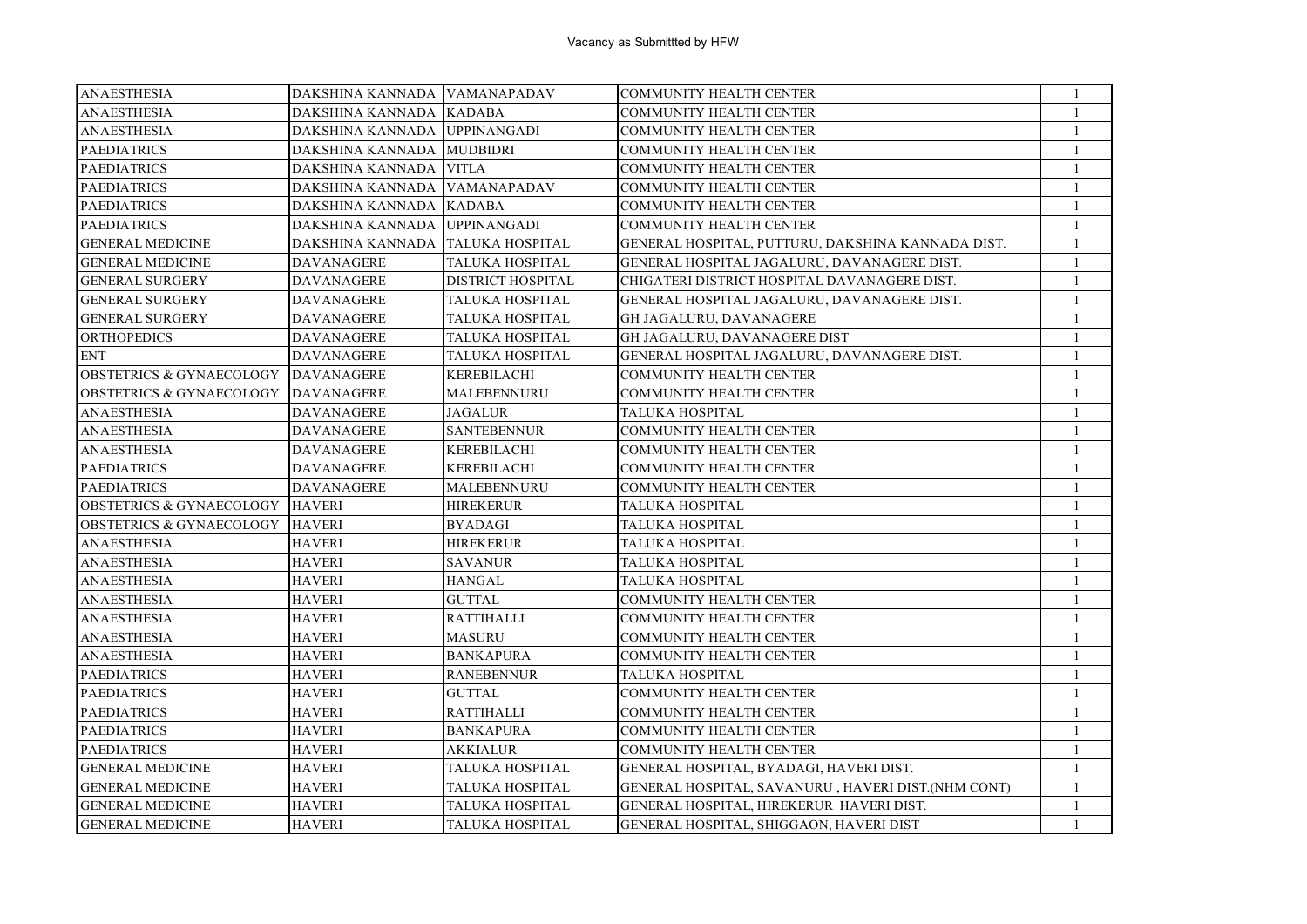| <b>ANAESTHESIA</b>                             | DAKSHINA KANNADA VAMANAPADAV     |                          | <b>COMMUNITY HEALTH CENTER</b>                     | -1           |
|------------------------------------------------|----------------------------------|--------------------------|----------------------------------------------------|--------------|
| <b>ANAESTHESIA</b>                             | DAKSHINA KANNADA KADABA          |                          | <b>COMMUNITY HEALTH CENTER</b>                     | $\mathbf{1}$ |
| <b>ANAESTHESIA</b>                             | DAKSHINA KANNADA   UPPINANGADI   |                          | <b>COMMUNITY HEALTH CENTER</b>                     | 1            |
| <b>PAEDIATRICS</b>                             | DAKSHINA KANNADA MUDBIDRI        |                          | <b>COMMUNITY HEALTH CENTER</b>                     | $\mathbf{1}$ |
| <b>PAEDIATRICS</b>                             | DAKSHINA KANNADA VITLA           |                          | <b>COMMUNITY HEALTH CENTER</b>                     | $\mathbf{1}$ |
| <b>PAEDIATRICS</b>                             | DAKSHINA KANNADA                 | <b>VAMANAPADAV</b>       | <b>COMMUNITY HEALTH CENTER</b>                     | 1            |
| <b>PAEDIATRICS</b>                             | DAKSHINA KANNADA                 | <b>KADABA</b>            | <b>COMMUNITY HEALTH CENTER</b>                     | -1           |
| <b>PAEDIATRICS</b>                             | DAKSHINA KANNADA   UPPINANGADI   |                          | <b>COMMUNITY HEALTH CENTER</b>                     | $\mathbf{1}$ |
| <b>GENERAL MEDICINE</b>                        | DAKSHINA KANNADA TALUKA HOSPITAL |                          | GENERAL HOSPITAL, PUTTURU, DAKSHINA KANNADA DIST.  | $\mathbf{1}$ |
| <b>GENERAL MEDICINE</b>                        | <b>DAVANAGERE</b>                | TALUKA HOSPITAL          | GENERAL HOSPITAL JAGALURU, DAVANAGERE DIST.        | 1            |
| <b>GENERAL SURGERY</b>                         | <b>DAVANAGERE</b>                | <b>DISTRICT HOSPITAL</b> | CHIGATERI DISTRICT HOSPITAL DAVANAGERE DIST.       | 1            |
| <b>GENERAL SURGERY</b>                         | <b>DAVANAGERE</b>                | <b>TALUKA HOSPITAL</b>   | GENERAL HOSPITAL JAGALURU, DAVANAGERE DIST.        | $\mathbf{1}$ |
| <b>GENERAL SURGERY</b>                         | <b>DAVANAGERE</b>                | TALUKA HOSPITAL          | GH JAGALURU, DAVANAGERE                            | $\mathbf{1}$ |
| <b>ORTHOPEDICS</b>                             | <b>DAVANAGERE</b>                | TALUKA HOSPITAL          | GH JAGALURU, DAVANAGERE DIST                       | 1            |
| <b>ENT</b>                                     | <b>DAVANAGERE</b>                | <b>TALUKA HOSPITAL</b>   | GENERAL HOSPITAL JAGALURU, DAVANAGERE DIST.        | $\mathbf{1}$ |
| OBSTETRICS & GYNAECOLOGY DAVANAGERE            |                                  | <b>KEREBILACHI</b>       | <b>COMMUNITY HEALTH CENTER</b>                     | $\mathbf{1}$ |
| <b>OBSTETRICS &amp; GYNAECOLOGY DAVANAGERE</b> |                                  | MALEBENNURU              | COMMUNITY HEALTH CENTER                            | 1            |
| <b>ANAESTHESIA</b>                             | <b>DAVANAGERE</b>                | <b>JAGALUR</b>           | <b>TALUKA HOSPITAL</b>                             | $\mathbf{1}$ |
| <b>ANAESTHESIA</b>                             | <b>DAVANAGERE</b>                | <b>SANTEBENNUR</b>       | <b>COMMUNITY HEALTH CENTER</b>                     | 1            |
| <b>ANAESTHESIA</b>                             | <b>DAVANAGERE</b>                | <b>KEREBILACHI</b>       | <b>COMMUNITY HEALTH CENTER</b>                     | $\mathbf{1}$ |
| <b>PAEDIATRICS</b>                             | <b>DAVANAGERE</b>                | KEREBILACHI              | <b>COMMUNITY HEALTH CENTER</b>                     | 1            |
| <b>PAEDIATRICS</b>                             | <b>DAVANAGERE</b>                | MALEBENNURU              | <b>COMMUNITY HEALTH CENTER</b>                     | -1           |
| <b>OBSTETRICS &amp; GYNAECOLOGY</b>            | <b>HAVERI</b>                    | <b>HIREKERUR</b>         | TALUKA HOSPITAL                                    | $\mathbf{1}$ |
| <b>OBSTETRICS &amp; GYNAECOLOGY HAVERI</b>     |                                  | <b>BYADAGI</b>           | TALUKA HOSPITAL                                    | $\mathbf{1}$ |
| <b>ANAESTHESIA</b>                             | HAVERI                           | <b>HIREKERUR</b>         | TALUKA HOSPITAL                                    | 1            |
| <b>ANAESTHESIA</b>                             | <b>HAVERI</b>                    | <b>SAVANUR</b>           | TALUKA HOSPITAL                                    | $\mathbf{1}$ |
| <b>ANAESTHESIA</b>                             | <b>HAVERI</b>                    | <b>HANGAL</b>            | <b>TALUKA HOSPITAL</b>                             | $\mathbf{1}$ |
| <b>ANAESTHESIA</b>                             | <b>HAVERI</b>                    | <b>GUTTAL</b>            | <b>COMMUNITY HEALTH CENTER</b>                     | 1            |
| <b>ANAESTHESIA</b>                             | HAVERI                           | <b>RATTIHALLI</b>        | <b>COMMUNITY HEALTH CENTER</b>                     | 1            |
| <b>ANAESTHESIA</b>                             | <b>HAVERI</b>                    | <b>MASURU</b>            | COMMUNITY HEALTH CENTER                            | 1            |
| <b>ANAESTHESIA</b>                             | <b>HAVERI</b>                    | <b>BANKAPURA</b>         | <b>COMMUNITY HEALTH CENTER</b>                     | $\mathbf{1}$ |
| <b>PAEDIATRICS</b>                             | <b>HAVERI</b>                    | <b>RANEBENNUR</b>        | TALUKA HOSPITAL                                    | $\mathbf{1}$ |
| <b>PAEDIATRICS</b>                             | <b>HAVERI</b>                    | <b>GUTTAL</b>            | <b>COMMUNITY HEALTH CENTER</b>                     | $\mathbf{1}$ |
| <b>PAEDIATRICS</b>                             | <b>HAVERI</b>                    | <b>RATTIHALLI</b>        | <b>COMMUNITY HEALTH CENTER</b>                     | 1            |
| <b>PAEDIATRICS</b>                             | <b>HAVERI</b>                    | <b>BANKAPURA</b>         | <b>COMMUNITY HEALTH CENTER</b>                     | $\mathbf{1}$ |
| <b>PAEDIATRICS</b>                             | <b>HAVERI</b>                    | <b>AKKIALUR</b>          | <b>COMMUNITY HEALTH CENTER</b>                     | $\mathbf{1}$ |
| <b>GENERAL MEDICINE</b>                        | <b>HAVERI</b>                    | TALUKA HOSPITAL          | GENERAL HOSPITAL, BYADAGI, HAVERI DIST.            | $\mathbf{1}$ |
| <b>GENERAL MEDICINE</b>                        | <b>HAVERI</b>                    | TALUKA HOSPITAL          | GENERAL HOSPITAL, SAVANURU, HAVERI DIST.(NHM CONT) | $\mathbf{1}$ |
| <b>GENERAL MEDICINE</b>                        | <b>HAVERI</b>                    | TALUKA HOSPITAL          | GENERAL HOSPITAL, HIREKERUR HAVERI DIST.           | $\mathbf{1}$ |
| <b>GENERAL MEDICINE</b>                        | <b>HAVERI</b>                    | <b>TALUKA HOSPITAL</b>   | GENERAL HOSPITAL, SHIGGAON, HAVERI DIST            | $\mathbf{1}$ |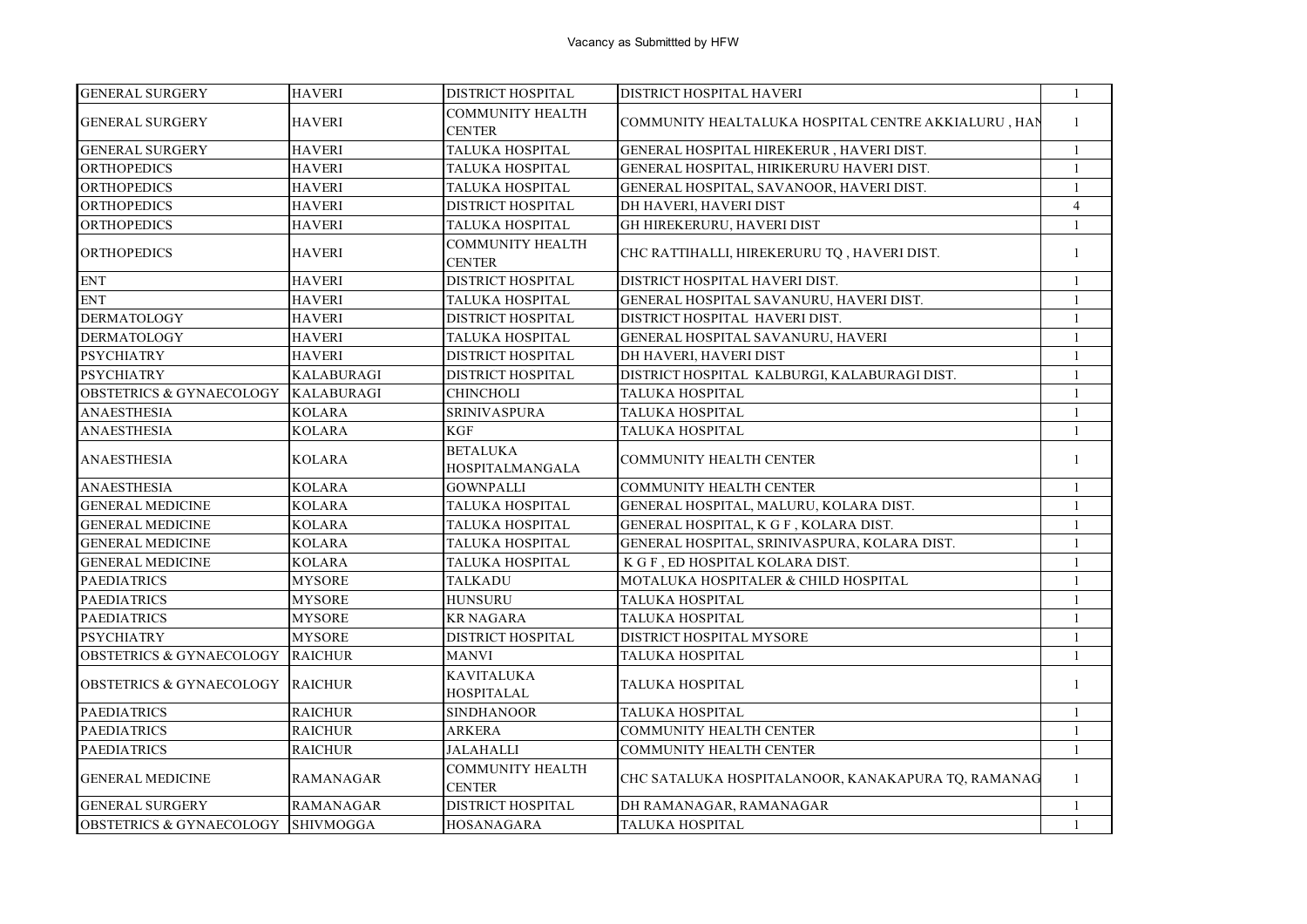| <b>GENERAL SURGERY</b>                      | <b>HAVERI</b>     | DISTRICT HOSPITAL                        | <b>DISTRICT HOSPITAL HAVERI</b>                     | -1             |
|---------------------------------------------|-------------------|------------------------------------------|-----------------------------------------------------|----------------|
| <b>GENERAL SURGERY</b>                      | <b>HAVERI</b>     | <b>COMMUNITY HEALTH</b><br><b>CENTER</b> | COMMUNITY HEALTALUKA HOSPITAL CENTRE AKKIALURU, HAN | $\mathbf{1}$   |
| <b>GENERAL SURGERY</b>                      | <b>HAVERI</b>     | <b>TALUKA HOSPITAL</b>                   | GENERAL HOSPITAL HIREKERUR, HAVERI DIST.            | $\mathbf{1}$   |
| <b>ORTHOPEDICS</b>                          | <b>HAVERI</b>     | <b>TALUKA HOSPITAL</b>                   | GENERAL HOSPITAL, HIRIKERURU HAVERI DIST.           | $\mathbf{1}$   |
| <b>ORTHOPEDICS</b>                          | <b>HAVERI</b>     | <b>TALUKA HOSPITAL</b>                   | GENERAL HOSPITAL, SAVANOOR, HAVERI DIST.            | $\mathbf{1}$   |
| <b>ORTHOPEDICS</b>                          | <b>HAVERI</b>     | DISTRICT HOSPITAL                        | DH HAVERI, HAVERI DIST                              | $\overline{4}$ |
| <b>ORTHOPEDICS</b>                          | <b>HAVERI</b>     | <b>TALUKA HOSPITAL</b>                   | GH HIREKERURU, HAVERI DIST                          | $\mathbf{1}$   |
| <b>ORTHOPEDICS</b>                          | <b>HAVERI</b>     | <b>COMMUNITY HEALTH</b><br><b>CENTER</b> | CHC RATTIHALLI, HIREKERURU TQ, HAVERI DIST.         | $\mathbf{1}$   |
| <b>ENT</b>                                  | <b>HAVERI</b>     | DISTRICT HOSPITAL                        | DISTRICT HOSPITAL HAVERI DIST.                      | $\mathbf{1}$   |
| <b>ENT</b>                                  | <b>HAVERI</b>     | <b>TALUKA HOSPITAL</b>                   | GENERAL HOSPITAL SAVANURU, HAVERI DIST.             | 1              |
| <b>DERMATOLOGY</b>                          | <b>HAVERI</b>     | DISTRICT HOSPITAL                        | DISTRICT HOSPITAL HAVERI DIST.                      | $\mathbf{1}$   |
| <b>DERMATOLOGY</b>                          | <b>HAVERI</b>     | <b>TALUKA HOSPITAL</b>                   | GENERAL HOSPITAL SAVANURU, HAVERI                   | $\mathbf{1}$   |
| <b>PSYCHIATRY</b>                           | <b>HAVERI</b>     | DISTRICT HOSPITAL                        | DH HAVERI, HAVERI DIST                              | $\mathbf{1}$   |
| <b>PSYCHIATRY</b>                           | <b>KALABURAGI</b> | DISTRICT HOSPITAL                        | DISTRICT HOSPITAL KALBURGI, KALABURAGI DIST.        | $\mathbf{1}$   |
| <b>OBSTETRICS &amp; GYNAECOLOGY</b>         | <b>KALABURAGI</b> | <b>CHINCHOLI</b>                         | TALUKA HOSPITAL                                     | $\mathbf{1}$   |
| <b>ANAESTHESIA</b>                          | <b>KOLARA</b>     | <b>SRINIVASPURA</b>                      | <b>TALUKA HOSPITAL</b>                              | $\mathbf{1}$   |
| ANAESTHESIA                                 | KOLARA            | <b>KGF</b>                               | TALUKA HOSPITAL                                     | $\mathbf{1}$   |
| ANAESTHESIA                                 | <b>KOLARA</b>     | <b>BETALUKA</b><br>HOSPITALMANGALA       | COMMUNITY HEALTH CENTER                             | $\mathbf{1}$   |
| <b>ANAESTHESIA</b>                          | <b>KOLARA</b>     | <b>GOWNPALLI</b>                         | COMMUNITY HEALTH CENTER                             | $\mathbf{1}$   |
| <b>GENERAL MEDICINE</b>                     | <b>KOLARA</b>     | <b>TALUKA HOSPITAL</b>                   | GENERAL HOSPITAL, MALURU, KOLARA DIST.              | $\mathbf{1}$   |
| <b>GENERAL MEDICINE</b>                     | <b>KOLARA</b>     | TALUKA HOSPITAL                          | GENERAL HOSPITAL, K G F, KOLARA DIST.               | $\mathbf{1}$   |
| <b>GENERAL MEDICINE</b>                     | <b>KOLARA</b>     | <b>TALUKA HOSPITAL</b>                   | GENERAL HOSPITAL, SRINIVASPURA, KOLARA DIST.        | $\mathbf{1}$   |
| <b>GENERAL MEDICINE</b>                     | KOLARA            | TALUKA HOSPITAL                          | K G F, ED HOSPITAL KOLARA DIST.                     | $\mathbf{1}$   |
| <b>PAEDIATRICS</b>                          | <b>MYSORE</b>     | <b>TALKADU</b>                           | MOTALUKA HOSPITALER & CHILD HOSPITAL                | $\mathbf{1}$   |
| <b>PAEDIATRICS</b>                          | <b>MYSORE</b>     | <b>HUNSURU</b>                           | TALUKA HOSPITAL                                     | $\mathbf{1}$   |
| <b>PAEDIATRICS</b>                          | <b>MYSORE</b>     | <b>KR NAGARA</b>                         | TALUKA HOSPITAL                                     | $\mathbf{1}$   |
| <b>PSYCHIATRY</b>                           | <b>MYSORE</b>     | DISTRICT HOSPITAL                        | DISTRICT HOSPITAL MYSORE                            | $\mathbf{1}$   |
| <b>OBSTETRICS &amp; GYNAECOLOGY RAICHUR</b> |                   | <b>MANVI</b>                             | TALUKA HOSPITAL                                     | $\mathbf{1}$   |
| <b>OBSTETRICS &amp; GYNAECOLOGY RAICHUR</b> |                   | <b>KAVITALUKA</b><br><b>HOSPITALAL</b>   | TALUKA HOSPITAL                                     | $\mathbf{1}$   |
| <b>PAEDIATRICS</b>                          | <b>RAICHUR</b>    | <b>SINDHANOOR</b>                        | TALUKA HOSPITAL                                     | $\mathbf{1}$   |
| <b>PAEDIATRICS</b>                          | <b>RAICHUR</b>    | <b>ARKERA</b>                            | <b>COMMUNITY HEALTH CENTER</b>                      | $\mathbf{1}$   |
| <b>PAEDIATRICS</b>                          | <b>RAICHUR</b>    | <b>JALAHALLI</b>                         | COMMUNITY HEALTH CENTER                             | $\mathbf{1}$   |
| <b>GENERAL MEDICINE</b>                     | <b>RAMANAGAR</b>  | <b>COMMUNITY HEALTH</b><br><b>CENTER</b> | CHC SATALUKA HOSPITALANOOR, KANAKAPURA TQ, RAMANAG  | $\mathbf{1}$   |
| <b>GENERAL SURGERY</b>                      | <b>RAMANAGAR</b>  | <b>DISTRICT HOSPITAL</b>                 | DH RAMANAGAR, RAMANAGAR                             | $\mathbf{1}$   |
| OBSTETRICS & GYNAECOLOGY SHIVMOGGA          |                   | HOSANAGARA                               | TALUKA HOSPITAL                                     | $\mathbf{1}$   |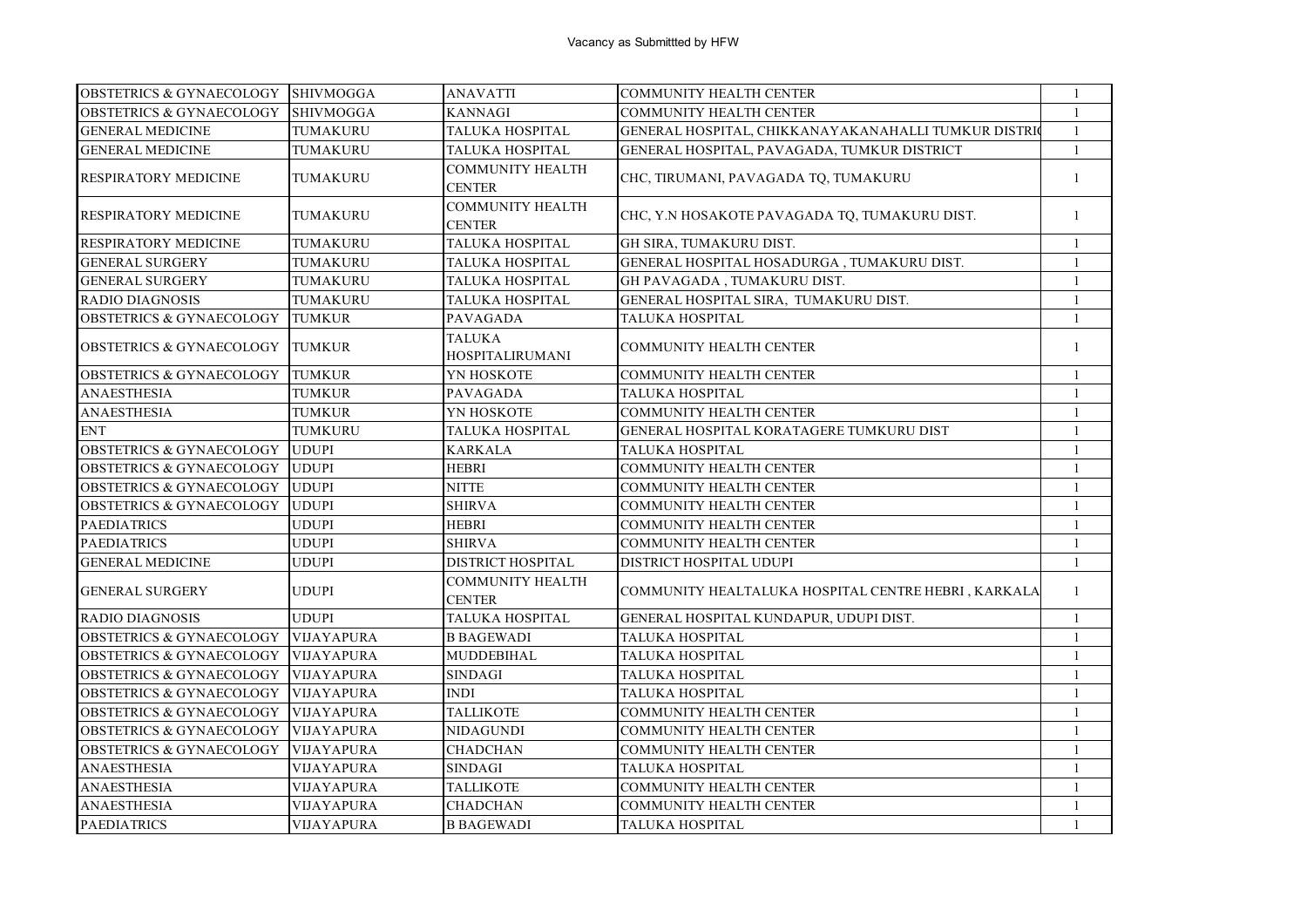| <b>OBSTETRICS &amp; GYNAECOLOGY</b> | <b>SHIVMOGGA</b>  | <b>ANAVATTI</b>                          | <b>COMMUNITY HEALTH CENTER</b>                      | $\mathbf{1}$   |
|-------------------------------------|-------------------|------------------------------------------|-----------------------------------------------------|----------------|
| <b>OBSTETRICS &amp; GYNAECOLOGY</b> | <b>SHIVMOGGA</b>  | <b>KANNAGI</b>                           | <b>COMMUNITY HEALTH CENTER</b>                      | $\mathbf{1}$   |
| <b>GENERAL MEDICINE</b>             | TUMAKURU          | TALUKA HOSPITAL                          | GENERAL HOSPITAL, CHIKKANAYAKANAHALLI TUMKUR DISTRI | $\overline{1}$ |
| <b>GENERAL MEDICINE</b>             | TUMAKURU          | TALUKA HOSPITAL                          | GENERAL HOSPITAL, PAVAGADA, TUMKUR DISTRICT         | $\mathbf{1}$   |
| <b>RESPIRATORY MEDICINE</b>         | TUMAKURU          | <b>COMMUNITY HEALTH</b><br><b>CENTER</b> | CHC, TIRUMANI, PAVAGADA TQ, TUMAKURU                | -1             |
| <b>RESPIRATORY MEDICINE</b>         | TUMAKURU          | <b>COMMUNITY HEALTH</b><br><b>CENTER</b> | CHC, Y.N HOSAKOTE PAVAGADA TQ, TUMAKURU DIST.       | $\mathbf{1}$   |
| RESPIRATORY MEDICINE                | TUMAKURU          | TALUKA HOSPITAL                          | GH SIRA, TUMAKURU DIST.                             | $\mathbf{1}$   |
| <b>GENERAL SURGERY</b>              | TUMAKURU          | TALUKA HOSPITAL                          | GENERAL HOSPITAL HOSADURGA, TUMAKURU DIST.          | $\mathbf{1}$   |
| <b>GENERAL SURGERY</b>              | TUMAKURU          | <b>TALUKA HOSPITAL</b>                   | GH PAVAGADA, TUMAKURU DIST.                         | $\mathbf{1}$   |
| <b>RADIO DIAGNOSIS</b>              | TUMAKURU          | TALUKA HOSPITAL                          | GENERAL HOSPITAL SIRA, TUMAKURU DIST.               | $\overline{1}$ |
| <b>OBSTETRICS &amp; GYNAECOLOGY</b> | <b>TUMKUR</b>     | PAVAGADA                                 | TALUKA HOSPITAL                                     | $\mathbf{1}$   |
| <b>OBSTETRICS &amp; GYNAECOLOGY</b> | <b>TUMKUR</b>     | <b>TALUKA</b><br><b>HOSPITALIRUMANI</b>  | <b>COMMUNITY HEALTH CENTER</b>                      | $\mathbf{1}$   |
| <b>OBSTETRICS &amp; GYNAECOLOGY</b> | <b>TUMKUR</b>     | YN HOSKOTE                               | <b>COMMUNITY HEALTH CENTER</b>                      | $\mathbf{1}$   |
| <b>ANAESTHESIA</b>                  | <b>TUMKUR</b>     | <b>PAVAGADA</b>                          | TALUKA HOSPITAL                                     | $\mathbf{1}$   |
| <b>ANAESTHESIA</b>                  | <b>TUMKUR</b>     | YN HOSKOTE                               | COMMUNITY HEALTH CENTER                             | $\mathbf{1}$   |
| <b>ENT</b>                          | <b>TUMKURU</b>    | TALUKA HOSPITAL                          | GENERAL HOSPITAL KORATAGERE TUMKURU DIST            | $\overline{1}$ |
| <b>OBSTETRICS &amp; GYNAECOLOGY</b> | <b>UDUPI</b>      | <b>KARKALA</b>                           | TALUKA HOSPITAL                                     | $\mathbf{1}$   |
| <b>OBSTETRICS &amp; GYNAECOLOGY</b> | <b>UDUPI</b>      | <b>HEBRI</b>                             | <b>COMMUNITY HEALTH CENTER</b>                      | $\overline{1}$ |
| <b>OBSTETRICS &amp; GYNAECOLOGY</b> | <b>UDUPI</b>      | <b>NITTE</b>                             | <b>COMMUNITY HEALTH CENTER</b>                      | -1             |
| <b>OBSTETRICS &amp; GYNAECOLOGY</b> | <b>UDUPI</b>      | <b>SHIRVA</b>                            | <b>COMMUNITY HEALTH CENTER</b>                      | $\overline{1}$ |
| <b>PAEDIATRICS</b>                  | <b>UDUPI</b>      | <b>HEBRI</b>                             | <b>COMMUNITY HEALTH CENTER</b>                      | $\overline{1}$ |
| <b>PAEDIATRICS</b>                  | <b>UDUPI</b>      | <b>SHIRVA</b>                            | <b>COMMUNITY HEALTH CENTER</b>                      | $\mathbf{1}$   |
| <b>GENERAL MEDICINE</b>             | <b>UDUPI</b>      | DISTRICT HOSPITAL                        | DISTRICT HOSPITAL UDUPI                             | $\overline{1}$ |
| <b>GENERAL SURGERY</b>              | <b>UDUPI</b>      | <b>COMMUNITY HEALTH</b><br><b>CENTER</b> | COMMUNITY HEALTALUKA HOSPITAL CENTRE HEBRI, KARKALA | -1             |
| <b>RADIO DIAGNOSIS</b>              | <b>UDUPI</b>      | TALUKA HOSPITAL                          | GENERAL HOSPITAL KUNDAPUR, UDUPI DIST.              | $\mathbf{1}$   |
| <b>OBSTETRICS &amp; GYNAECOLOGY</b> | <b>VIJAYAPURA</b> | <b>B BAGEWADI</b>                        | TALUKA HOSPITAL                                     | -1             |
| <b>OBSTETRICS &amp; GYNAECOLOGY</b> | <b>VIJAYAPURA</b> | MUDDEBIHAL                               | TALUKA HOSPITAL                                     | $\overline{1}$ |
| <b>OBSTETRICS &amp; GYNAECOLOGY</b> | <b>VIJAYAPURA</b> | <b>SINDAGI</b>                           | TALUKA HOSPITAL                                     | $\mathbf{1}$   |
| <b>OBSTETRICS &amp; GYNAECOLOGY</b> | <b>VIJAYAPURA</b> | <b>INDI</b>                              | TALUKA HOSPITAL                                     | $\overline{1}$ |
| <b>OBSTETRICS &amp; GYNAECOLOGY</b> | <b>VIJAYAPURA</b> | <b>TALLIKOTE</b>                         | <b>COMMUNITY HEALTH CENTER</b>                      | $\mathbf{1}$   |
| <b>OBSTETRICS &amp; GYNAECOLOGY</b> | VIJAYAPURA        | <b>NIDAGUNDI</b>                         | <b>COMMUNITY HEALTH CENTER</b>                      | $\mathbf{1}$   |
| <b>OBSTETRICS &amp; GYNAECOLOGY</b> | VIJAYAPURA        | <b>CHADCHAN</b>                          | <b>COMMUNITY HEALTH CENTER</b>                      | $\mathbf{1}$   |
| <b>ANAESTHESIA</b>                  | VIJAYAPURA        | <b>SINDAGI</b>                           | TALUKA HOSPITAL                                     | $\overline{1}$ |
| <b>ANAESTHESIA</b>                  | VIJAYAPURA        | <b>TALLIKOTE</b>                         | <b>COMMUNITY HEALTH CENTER</b>                      | $\overline{1}$ |
| <b>ANAESTHESIA</b>                  | VIJAYAPURA        | CHADCHAN                                 | COMMUNITY HEALTH CENTER                             | $\mathbf{1}$   |
| <b>PAEDIATRICS</b>                  | <b>VIJAYAPURA</b> | <b>B BAGEWADI</b>                        | <b>TALUKA HOSPITAL</b>                              | $\mathbf{1}$   |